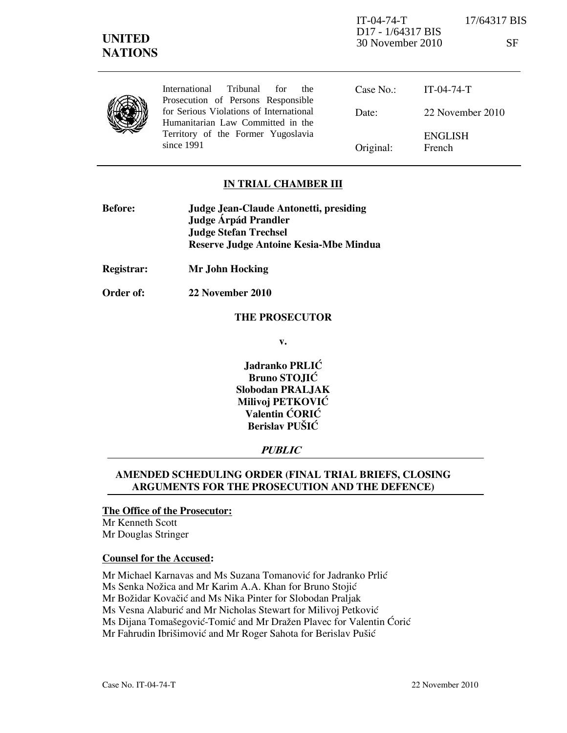International Tribunal for the Prosecution of Persons Responsible for Serious Violations of International Humanitarian Law Committed in the Territory of the Former Yugoslavia since 1991

Case No.: Date: Original: IT-04-74-T 22 November 2010 ENGLISH French

# IN TRIAL CHAMBER III

| Judge Jean-Claude Antonetti, presiding |
|----------------------------------------|
| Judge Árpád Prandler                   |
| <b>Judge Stefan Trechsel</b>           |
| Reserve Judge Antoine Kesia-Mbe Mindua |
|                                        |

Registrar: Mr John Hocking

Order of: 22 November 2010

#### THE PROSECUTOR

v.

Jadranko PRLIĆ Bruno STOJIĆ Slobodan PRALJAK Milivoj PETKOVIĆ Valentin ĆORIĆ Berislav PUŠIĆ

### **PUBLIC**

# AMENDED SCHEDULING ORDER (FINAL TRIAL BRIEFS, CLOSING ARGUMENTS FOR THE PROSECUTION AND THE DEFENCE)

#### The Office of the Prosecutor:

Mr Kenneth Scott Mr Douglas Stringer

#### Counsel for the Accused:

Mr Michael Karnavas and Ms Suzana Tomanović for Jadranko Prlić

Ms Senka Nožica and Mr Karim A.A. Khan for Bruno Stojić

Mr Božidar Kovačić and Ms Nika Pinter for Slobodan Praljak

Ms Vesna Alaburić and Mr Nicholas Stewart for Milivoj Petković

Ms Dijana Tomašegović-Tomić and Mr Dražen Plavec for Valentin Ćorić

Mr Fahrudin Ibrišimović and Mr Roger Sahota for Berislav Pušić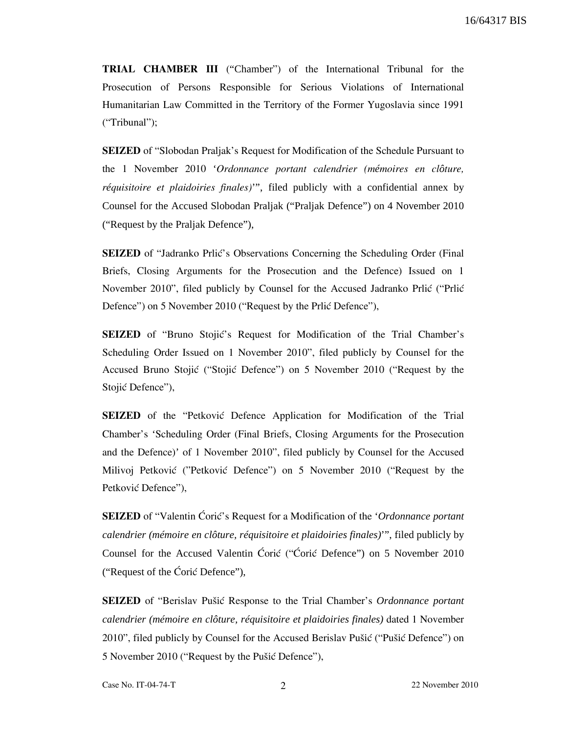TRIAL CHAMBER III ("Chamber") of the International Tribunal for the Prosecution of Persons Responsible for Serious Violations of International Humanitarian Law Committed in the Territory of the Former Yugoslavia since 1991 ("Tribunal");

SEIZED of "Slobodan Praljak's Request for Modification of the Schedule Pursuant to the 1 November 2010 'Ordonnance portant calendrier (m*é*moires en cl*ô*ture, r*é*quisitoire et plaidoiries finales)'", filed publicly with a confidential annex by Counsel for the Accused Slobodan Praljak ("Praljak Defence") on 4 November 2010 ("Request by the Praljak Defence"),

**SEIZED** of "Jadranko Prlić's Observations Concerning the Scheduling Order (Final Briefs, Closing Arguments for the Prosecution and the Defence) Issued on 1 November 2010", filed publicly by Counsel for the Accused Jadranko Prlić ("Prlić Defence") on 5 November 2010 ("Request by the Prlić Defence"),

**SEIZED** of "Bruno Stojić's Request for Modification of the Trial Chamber's Scheduling Order Issued on 1 November 2010", filed publicly by Counsel for the Accused Bruno Stojić ("Stojić Defence") on 5 November 2010 ("Request by the Stojić Defence"),

**SEIZED** of the "Petković Defence Application for Modification of the Trial Chamber's 'Scheduling Order (Final Briefs, Closing Arguments for the Prosecution and the Defence)' of 1 November 2010", filed publicly by Counsel for the Accused Milivoj Petković ("Petković Defence") on 5 November 2010 ("Request by the Petković Defence"),

**SEIZED** of "Valentin Coric's Request for a Modification of the *'Ordonnance portant calendrier (mémoire en clôture, réquisitoire et plaidoiries finales)*'", filed publicly by Counsel for the Accused Valentin Ćorić ("Ćorić Defence") on 5 November 2010 ("Request of the  $\angle$ Oric Defence"),

**SEIZED** of "Berislav Pušić Response to the Trial Chamber's *Ordonnance portant calendrier (mémoire en clôture, réquisitoire et plaidoiries finales)* dated 1 November 2010", filed publicly by Counsel for the Accused Berislav Pušić ("Pušić Defence") on 5 November 2010 ("Request by the Pušić Defence"),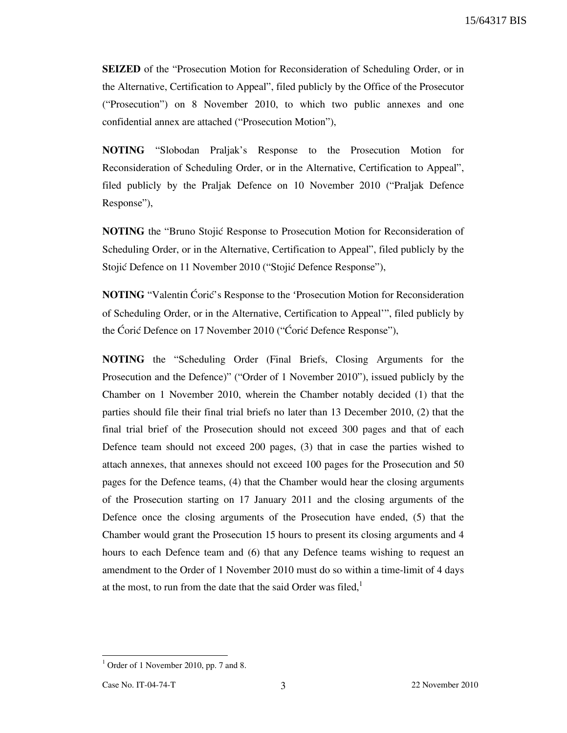15/64317 BIS

SEIZED of the "Prosecution Motion for Reconsideration of Scheduling Order, or in the Alternative, Certification to Appeal", filed publicly by the Office of the Prosecutor ("Prosecution") on 8 November 2010, to which two public annexes and one confidential annex are attached ("Prosecution Motion"),

NOTING "Slobodan Praljak's Response to the Prosecution Motion for Reconsideration of Scheduling Order, or in the Alternative, Certification to Appeal", filed publicly by the Praljak Defence on 10 November 2010 ("Praljak Defence Response"),

**NOTING** the "Bruno Stojic Response to Prosecution Motion for Reconsideration of Scheduling Order, or in the Alternative, Certification to Appeal", filed publicly by the Stojić Defence on 11 November 2010 ("Stojić Defence Response"),

NOTING "Valentin Ćorić's Response to the 'Prosecution Motion for Reconsideration of Scheduling Order, or in the Alternative, Certification to Appeal'", filed publicly by the Ćorić Defence on 17 November 2010 ("Ćorić Defence Response"),

NOTING the "Scheduling Order (Final Briefs, Closing Arguments for the Prosecution and the Defence)" ("Order of 1 November 2010"), issued publicly by the Chamber on 1 November 2010, wherein the Chamber notably decided (1) that the parties should file their final trial briefs no later than 13 December 2010, (2) that the final trial brief of the Prosecution should not exceed 300 pages and that of each Defence team should not exceed 200 pages, (3) that in case the parties wished to attach annexes, that annexes should not exceed 100 pages for the Prosecution and 50 pages for the Defence teams, (4) that the Chamber would hear the closing arguments of the Prosecution starting on 17 January 2011 and the closing arguments of the Defence once the closing arguments of the Prosecution have ended, (5) that the Chamber would grant the Prosecution 15 hours to present its closing arguments and 4 hours to each Defence team and (6) that any Defence teams wishing to request an amendment to the Order of 1 November 2010 must do so within a time-limit of 4 days at the most, to run from the date that the said Order was filed, $<sup>1</sup>$ </sup>

<sup>&</sup>lt;sup>1</sup> Order of 1 November 2010, pp. 7 and 8.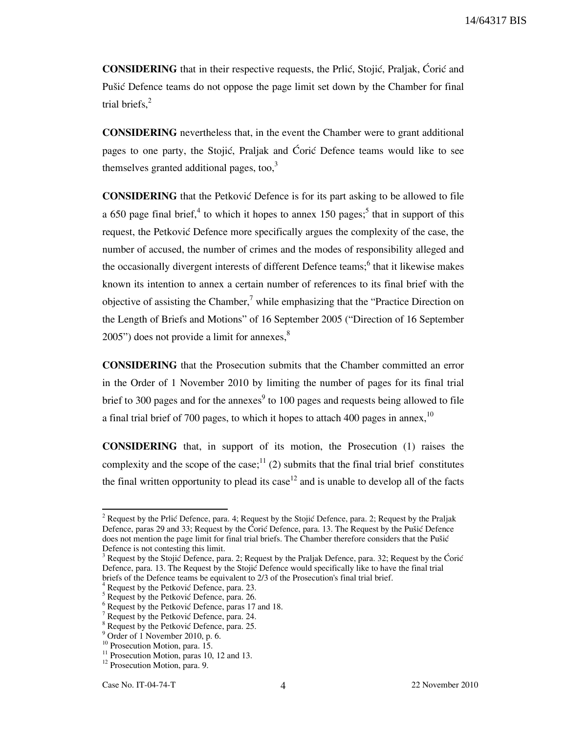CONSIDERING that in their respective requests, the Prlić, Stojić, Praljak, Ćorić and Pušić Defence teams do not oppose the page limit set down by the Chamber for final trial briefs. $<sup>2</sup>$ </sup>

CONSIDERING nevertheless that, in the event the Chamber were to grant additional pages to one party, the Stojić, Praljak and Ćorić Defence teams would like to see themselves granted additional pages, too, $3$ 

**CONSIDERING** that the Petkovic Defence is for its part asking to be allowed to file a 650 page final brief,<sup>4</sup> to which it hopes to annex 150 pages;<sup>5</sup> that in support of this request, the Petković Defence more specifically argues the complexity of the case, the number of accused, the number of crimes and the modes of responsibility alleged and the occasionally divergent interests of different Defence teams;<sup>6</sup> that it likewise makes known its intention to annex a certain number of references to its final brief with the objective of assisting the Chamber,<sup>7</sup> while emphasizing that the "Practice Direction on the Length of Briefs and Motions" of 16 September 2005 ("Direction of 16 September  $2005$ ") does not provide a limit for annexes, $8$ 

CONSIDERING that the Prosecution submits that the Chamber committed an error in the Order of 1 November 2010 by limiting the number of pages for its final trial brief to 300 pages and for the annexes<sup>9</sup> to 100 pages and requests being allowed to file a final trial brief of 700 pages, to which it hopes to attach 400 pages in annex.<sup>10</sup>

CONSIDERING that, in support of its motion, the Prosecution (1) raises the complexity and the scope of the case;  $1/1$  (2) submits that the final trial brief constitutes the final written opportunity to plead its case<sup>12</sup> and is unable to develop all of the facts

<sup>&</sup>lt;sup>2</sup> Request by the Prlić Defence, para. 4; Request by the Stojić Defence, para. 2; Request by the Praljak Defence, paras 29 and 33; Request by the Ćorić Defence, para. 13. The Request by the Pušić Defence does not mention the page limit for final trial briefs. The Chamber therefore considers that the Pušić Defence is not contesting this limit.

<sup>&</sup>lt;sup>3</sup> Request by the Stojić Defence, para. 2; Request by the Praljak Defence, para. 32; Request by the Ćorić Defence, para. 13. The Request by the Stojić Defence would specifically like to have the final trial briefs of the Defence teams be equivalent to 2/3 of the Prosecution's final trial brief.

<sup>&</sup>lt;sup>4</sup> Request by the Petković Defence, para. 23.

 $<sup>5</sup>$  Request by the Petković Defence, para. 26.</sup>

<sup>&</sup>lt;sup>6</sup> Request by the Petković Defence, paras 17 and 18.

 $7$  Request by the Petković Defence, para. 24.

<sup>&</sup>lt;sup>8</sup> Request by the Petković Defence, para. 25.

<sup>9</sup> Order of 1 November 2010, p. 6.

<sup>&</sup>lt;sup>10</sup> Prosecution Motion, para. 15.

 $11$  Prosecution Motion, paras 10, 12 and 13.

<sup>&</sup>lt;sup>12</sup> Prosecution Motion, para. 9.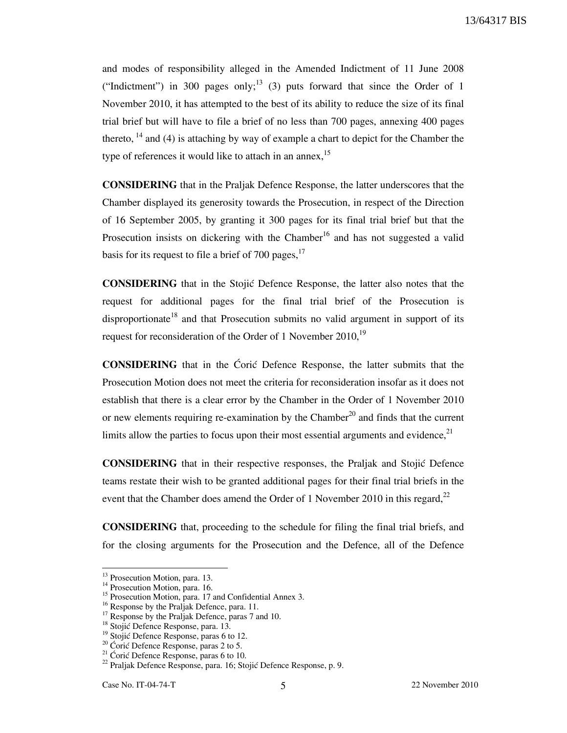and modes of responsibility alleged in the Amended Indictment of 11 June 2008 ("Indictment") in 300 pages only;<sup>13</sup> (3) puts forward that since the Order of 1 November 2010, it has attempted to the best of its ability to reduce the size of its final trial brief but will have to file a brief of no less than 700 pages, annexing 400 pages thereto,  $^{14}$  and (4) is attaching by way of example a chart to depict for the Chamber the type of references it would like to attach in an annex,  $15$ 

CONSIDERING that in the Praljak Defence Response, the latter underscores that the Chamber displayed its generosity towards the Prosecution, in respect of the Direction of 16 September 2005, by granting it 300 pages for its final trial brief but that the Prosecution insists on dickering with the Chamber<sup>16</sup> and has not suggested a valid basis for its request to file a brief of 700 pages. $17$ 

**CONSIDERING** that in the Stojić Defence Response, the latter also notes that the request for additional pages for the final trial brief of the Prosecution is disproportionate<sup>18</sup> and that Prosecution submits no valid argument in support of its request for reconsideration of the Order of 1 November 2010,  $^{19}$ 

**CONSIDERING** that in the Coric Defence Response, the latter submits that the Prosecution Motion does not meet the criteria for reconsideration insofar as it does not establish that there is a clear error by the Chamber in the Order of 1 November 2010 or new elements requiring re-examination by the Chamber<sup>20</sup> and finds that the current limits allow the parties to focus upon their most essential arguments and evidence, $2<sup>1</sup>$ 

CONSIDERING that in their respective responses, the Praljak and Stoji} Defence teams restate their wish to be granted additional pages for their final trial briefs in the event that the Chamber does amend the Order of 1 November 2010 in this regard, $^{22}$ 

CONSIDERING that, proceeding to the schedule for filing the final trial briefs, and for the closing arguments for the Prosecution and the Defence, all of the Defence

<sup>&</sup>lt;sup>13</sup> Prosecution Motion, para. 13.

<sup>&</sup>lt;sup>14</sup> Prosecution Motion, para. 16.

<sup>&</sup>lt;sup>15</sup> Prosecution Motion, para. 17 and Confidential Annex 3.

<sup>&</sup>lt;sup>16</sup> Response by the Praljak Defence, para. 11.

 $17$  Response by the Praljak Defence, paras 7 and 10.

<sup>&</sup>lt;sup>18</sup> Stojić Defence Response, para. 13.

 $19$  Stojić Defence Response, paras 6 to 12.

 $20 \text{ }$  Coric Defence Response, paras 2 to 5.

<sup>&</sup>lt;sup>21</sup> Ćorić Defence Response, paras 6 to 10.

 $^{22}$  Praljak Defence Response, para. 16; Stojić Defence Response, p. 9.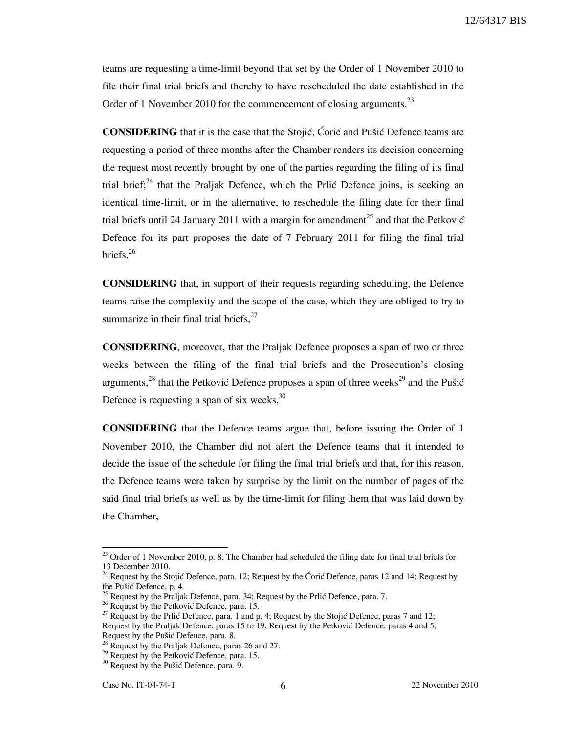teams are requesting a time-limit beyond that set by the Order of 1 November 2010 to file their final trial briefs and thereby to have rescheduled the date established in the Order of 1 November 2010 for the commencement of closing arguments, <sup>23</sup>

**CONSIDERING** that it is the case that the Stojić, Ćorić and Pušić Defence teams are requesting a period of three months after the Chamber renders its decision concerning the request most recently brought by one of the parties regarding the filing of its final trial brief;<sup>24</sup> that the Praljak Defence, which the Prlić Defence joins, is seeking an identical time-limit, or in the alternative, to reschedule the filing date for their final trial briefs until 24 January 2011 with a margin for amendment<sup>25</sup> and that the Petković Defence for its part proposes the date of 7 February 2011 for filing the final trial briefs. $^{26}$ 

CONSIDERING that, in support of their requests regarding scheduling, the Defence teams raise the complexity and the scope of the case, which they are obliged to try to summarize in their final trial briefs, $27$ 

CONSIDERING, moreover, that the Praljak Defence proposes a span of two or three weeks between the filing of the final trial briefs and the Prosecution's closing arguments,<sup>28</sup> that the Petković Defence proposes a span of three weeks<sup>29</sup> and the Pušić Defence is requesting a span of six weeks,  $30$ 

CONSIDERING that the Defence teams argue that, before issuing the Order of 1 November 2010, the Chamber did not alert the Defence teams that it intended to decide the issue of the schedule for filing the final trial briefs and that, for this reason, the Defence teams were taken by surprise by the limit on the number of pages of the said final trial briefs as well as by the time-limit for filing them that was laid down by the Chamber,

<sup>&</sup>lt;sup>23</sup> Order of 1 November 2010, p. 8. The Chamber had scheduled the filing date for final trial briefs for 13 December 2010.

<sup>&</sup>lt;sup>24</sup> Request by the Stojić Defence, para. 12; Request by the Ćorić Defence, paras 12 and 14; Request by the Pušić Defence, p. 4.

 $25$  Request by the Praljak Defence, para. 34; Request by the Prlić Defence, para. 7.

 $26$  Request by the Petković Defence, para. 15.

<sup>&</sup>lt;sup>27</sup> Request by the Prlić Defence, para. 1 and p. 4; Request by the Stojić Defence, paras 7 and 12; Request by the Praljak Defence, paras 15 to 19; Request by the Petković Defence, paras 4 and 5; Request by the Pušić Defence, para. 8.

 $^{28}$  Request by the Praljak Defence, paras 26 and 27.

 $29$  Request by the Petković Defence, para. 15.

 $30$  Request by the Pušić Defence, para. 9.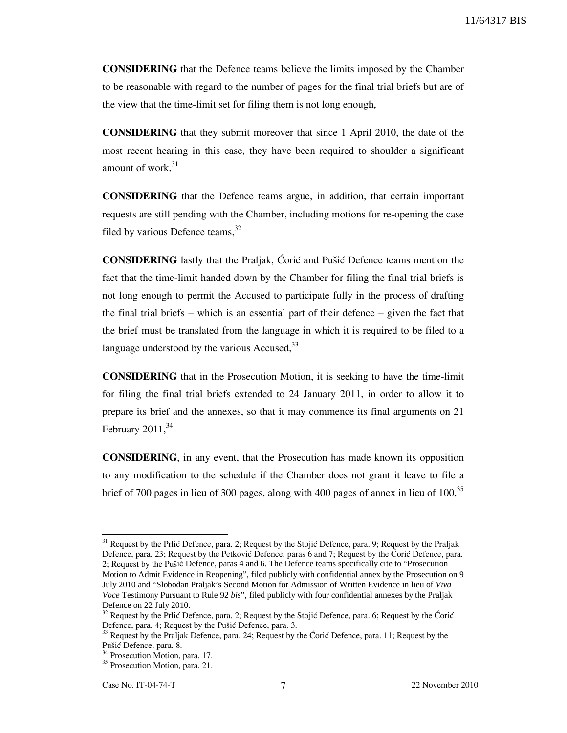CONSIDERING that the Defence teams believe the limits imposed by the Chamber to be reasonable with regard to the number of pages for the final trial briefs but are of the view that the time-limit set for filing them is not long enough,

CONSIDERING that they submit moreover that since 1 April 2010, the date of the most recent hearing in this case, they have been required to shoulder a significant amount of work, 31

CONSIDERING that the Defence teams argue, in addition, that certain important requests are still pending with the Chamber, including motions for re-opening the case filed by various Defence teams. $32$ 

**CONSIDERING** lastly that the Praljak, Coric and Pušic Defence teams mention the fact that the time-limit handed down by the Chamber for filing the final trial briefs is not long enough to permit the Accused to participate fully in the process of drafting the final trial briefs – which is an essential part of their defence – given the fact that the brief must be translated from the language in which it is required to be filed to a language understood by the various Accused,  $33$ 

CONSIDERING that in the Prosecution Motion, it is seeking to have the time-limit for filing the final trial briefs extended to 24 January 2011, in order to allow it to prepare its brief and the annexes, so that it may commence its final arguments on 21 February  $2011<sup>34</sup>$ 

CONSIDERING, in any event, that the Prosecution has made known its opposition to any modification to the schedule if the Chamber does not grant it leave to file a brief of 700 pages in lieu of 300 pages, along with 400 pages of annex in lieu of 100.<sup>35</sup>

 $31$  Request by the Prlić Defence, para. 2; Request by the Stojić Defence, para. 9; Request by the Praljak Defence, para. 23; Request by the Petković Defence, paras 6 and 7; Request by the Corić Defence, para. 2; Request by the Pušić Defence, paras 4 and 6. The Defence teams specifically cite to "Prosecution" Motion to Admit Evidence in Reopening", filed publicly with confidential annex by the Prosecution on 9 July 2010 and "Slobodan Praljak's Second Motion for Admission of Written Evidence in lieu of *Viva Voce* Testimony Pursuant to Rule 92 *bis*", filed publicly with four confidential annexes by the Praljak Defence on 22 July 2010.

 $32$  Request by the Prlić Defence, para. 2; Request by the Stojić Defence, para. 6; Request by the Ćorić Defence, para. 4; Request by the Pušić Defence, para. 3.

 $33$  Request by the Praljak Defence, para. 24; Request by the Ćorić Defence, para. 11; Request by the Pušić Defence, para. 8.

<sup>&</sup>lt;sup>34</sup> Prosecution Motion, para. 17.

<sup>&</sup>lt;sup>35</sup> Prosecution Motion, para. 21.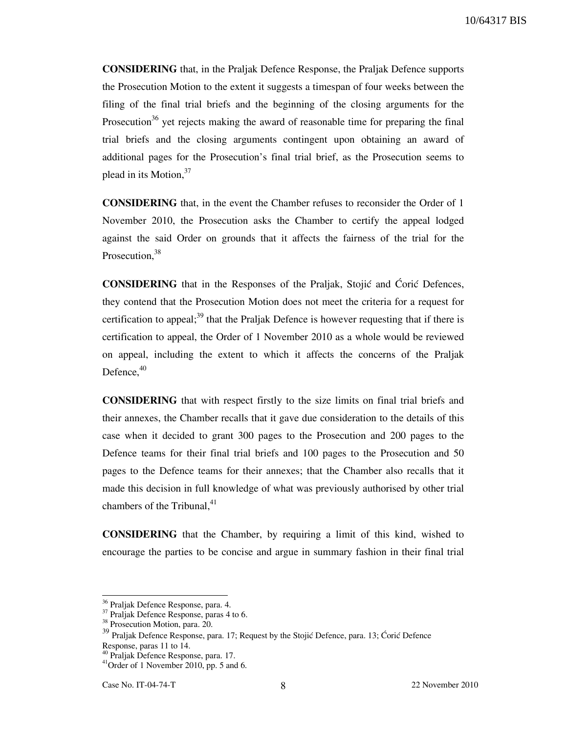CONSIDERING that, in the Praljak Defence Response, the Praljak Defence supports the Prosecution Motion to the extent it suggests a timespan of four weeks between the filing of the final trial briefs and the beginning of the closing arguments for the Prosecution<sup>36</sup> yet rejects making the award of reasonable time for preparing the final trial briefs and the closing arguments contingent upon obtaining an award of additional pages for the Prosecution's final trial brief, as the Prosecution seems to plead in its Motion, $37$ 

CONSIDERING that, in the event the Chamber refuses to reconsider the Order of 1 November 2010, the Prosecution asks the Chamber to certify the appeal lodged against the said Order on grounds that it affects the fairness of the trial for the Prosecution, 38

**CONSIDERING** that in the Responses of the Praljak, Stojić and Ćorić Defences, they contend that the Prosecution Motion does not meet the criteria for a request for certification to appeal;<sup>39</sup> that the Praljak Defence is however requesting that if there is certification to appeal, the Order of 1 November 2010 as a whole would be reviewed on appeal, including the extent to which it affects the concerns of the Praljak Defence. $40$ 

CONSIDERING that with respect firstly to the size limits on final trial briefs and their annexes, the Chamber recalls that it gave due consideration to the details of this case when it decided to grant 300 pages to the Prosecution and 200 pages to the Defence teams for their final trial briefs and 100 pages to the Prosecution and 50 pages to the Defence teams for their annexes; that the Chamber also recalls that it made this decision in full knowledge of what was previously authorised by other trial chambers of the Tribunal, $41$ 

CONSIDERING that the Chamber, by requiring a limit of this kind, wished to encourage the parties to be concise and argue in summary fashion in their final trial

<sup>36</sup> Praljak Defence Response, para. 4.

<sup>37</sup> Praljak Defence Response, paras 4 to 6.

<sup>&</sup>lt;sup>38</sup> Prosecution Motion, para. 20.

<sup>&</sup>lt;sup>39</sup> Praljak Defence Response, para. 17; Request by the Stojić Defence, para. 13; Ćorić Defence Response, paras 11 to 14.

<sup>40</sup> Praljak Defence Response, para. 17.

 $41$ Order of 1 November 2010, pp. 5 and 6.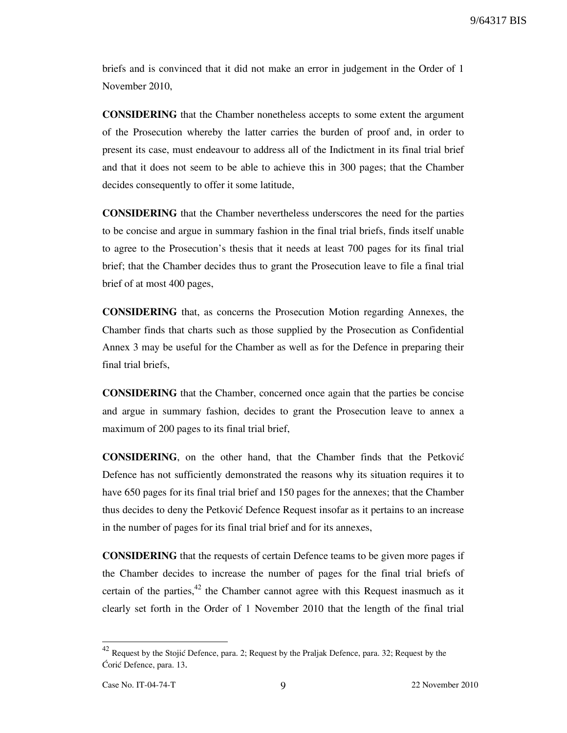briefs and is convinced that it did not make an error in judgement in the Order of 1 November 2010,

CONSIDERING that the Chamber nonetheless accepts to some extent the argument of the Prosecution whereby the latter carries the burden of proof and, in order to present its case, must endeavour to address all of the Indictment in its final trial brief and that it does not seem to be able to achieve this in 300 pages; that the Chamber decides consequently to offer it some latitude,

CONSIDERING that the Chamber nevertheless underscores the need for the parties to be concise and argue in summary fashion in the final trial briefs, finds itself unable to agree to the Prosecution's thesis that it needs at least 700 pages for its final trial brief; that the Chamber decides thus to grant the Prosecution leave to file a final trial brief of at most 400 pages,

CONSIDERING that, as concerns the Prosecution Motion regarding Annexes, the Chamber finds that charts such as those supplied by the Prosecution as Confidential Annex 3 may be useful for the Chamber as well as for the Defence in preparing their final trial briefs,

CONSIDERING that the Chamber, concerned once again that the parties be concise and argue in summary fashion, decides to grant the Prosecution leave to annex a maximum of 200 pages to its final trial brief,

**CONSIDERING**, on the other hand, that the Chamber finds that the Petković Defence has not sufficiently demonstrated the reasons why its situation requires it to have 650 pages for its final trial brief and 150 pages for the annexes; that the Chamber thus decides to deny the Petković Defence Request insofar as it pertains to an increase in the number of pages for its final trial brief and for its annexes,

CONSIDERING that the requests of certain Defence teams to be given more pages if the Chamber decides to increase the number of pages for the final trial briefs of certain of the parties,<sup>42</sup> the Chamber cannot agree with this Request inasmuch as it clearly set forth in the Order of 1 November 2010 that the length of the final trial

<sup>&</sup>lt;sup>42</sup> Request by the Stojić Defence, para. 2; Request by the Praljak Defence, para. 32; Request by the Ćorić Defence, para. 13.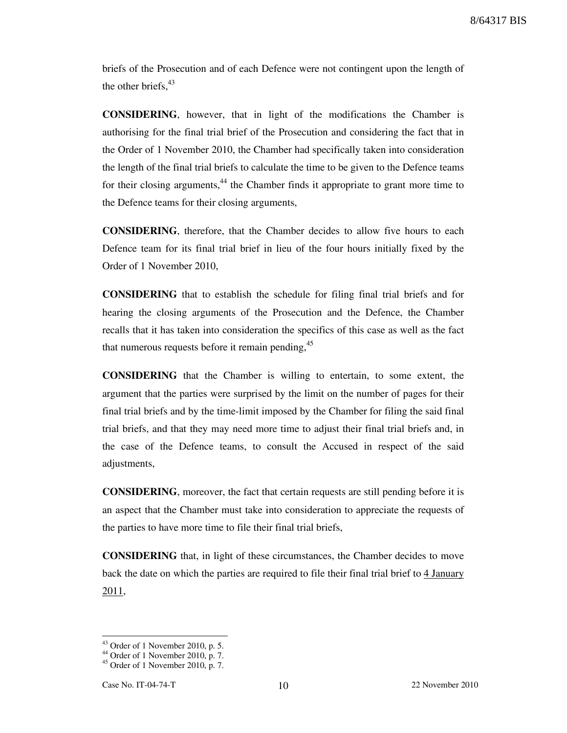briefs of the Prosecution and of each Defence were not contingent upon the length of the other briefs,  $43$ 

CONSIDERING, however, that in light of the modifications the Chamber is authorising for the final trial brief of the Prosecution and considering the fact that in the Order of 1 November 2010, the Chamber had specifically taken into consideration the length of the final trial briefs to calculate the time to be given to the Defence teams for their closing arguments, $^{44}$  the Chamber finds it appropriate to grant more time to the Defence teams for their closing arguments,

CONSIDERING, therefore, that the Chamber decides to allow five hours to each Defence team for its final trial brief in lieu of the four hours initially fixed by the Order of 1 November 2010,

CONSIDERING that to establish the schedule for filing final trial briefs and for hearing the closing arguments of the Prosecution and the Defence, the Chamber recalls that it has taken into consideration the specifics of this case as well as the fact that numerous requests before it remain pending,<sup>45</sup>

CONSIDERING that the Chamber is willing to entertain, to some extent, the argument that the parties were surprised by the limit on the number of pages for their final trial briefs and by the time-limit imposed by the Chamber for filing the said final trial briefs, and that they may need more time to adjust their final trial briefs and, in the case of the Defence teams, to consult the Accused in respect of the said adjustments,

CONSIDERING, moreover, the fact that certain requests are still pending before it is an aspect that the Chamber must take into consideration to appreciate the requests of the parties to have more time to file their final trial briefs,

CONSIDERING that, in light of these circumstances, the Chamber decides to move back the date on which the parties are required to file their final trial brief to 4 January 2011,

 $43$  Order of 1 November 2010, p. 5.

<sup>44</sup> Order of 1 November 2010, p. 7.

 $45$  Order of 1 November 2010, p. 7.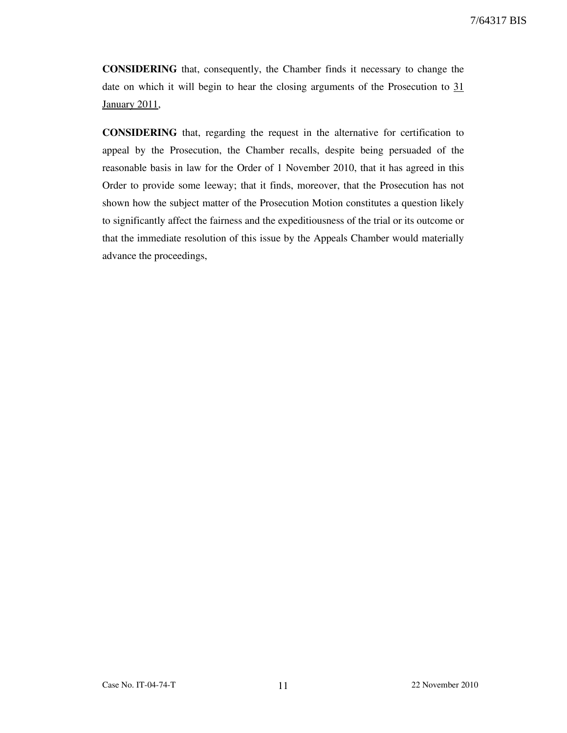CONSIDERING that, consequently, the Chamber finds it necessary to change the date on which it will begin to hear the closing arguments of the Prosecution to 31 January 2011,

CONSIDERING that, regarding the request in the alternative for certification to appeal by the Prosecution, the Chamber recalls, despite being persuaded of the reasonable basis in law for the Order of 1 November 2010, that it has agreed in this Order to provide some leeway; that it finds, moreover, that the Prosecution has not shown how the subject matter of the Prosecution Motion constitutes a question likely to significantly affect the fairness and the expeditiousness of the trial or its outcome or that the immediate resolution of this issue by the Appeals Chamber would materially advance the proceedings,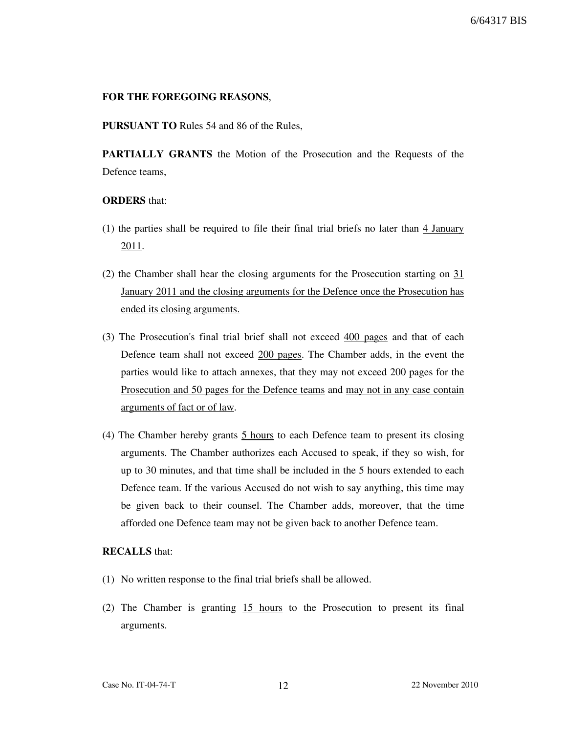### FOR THE FOREGOING REASONS,

PURSUANT TO Rules 54 and 86 of the Rules,

PARTIALLY GRANTS the Motion of the Prosecution and the Requests of the Defence teams,

# **ORDERS** that:

- (1) the parties shall be required to file their final trial briefs no later than 4 January 2011.
- (2) the Chamber shall hear the closing arguments for the Prosecution starting on 31 January 2011 and the closing arguments for the Defence once the Prosecution has ended its closing arguments.
- (3) The Prosecution's final trial brief shall not exceed 400 pages and that of each Defence team shall not exceed 200 pages. The Chamber adds, in the event the parties would like to attach annexes, that they may not exceed 200 pages for the Prosecution and 50 pages for the Defence teams and may not in any case contain arguments of fact or of law.
- (4) The Chamber hereby grants  $5$  hours to each Defence team to present its closing arguments. The Chamber authorizes each Accused to speak, if they so wish, for up to 30 minutes, and that time shall be included in the 5 hours extended to each Defence team. If the various Accused do not wish to say anything, this time may be given back to their counsel. The Chamber adds, moreover, that the time afforded one Defence team may not be given back to another Defence team.

### RECALLS that:

- (1) No written response to the final trial briefs shall be allowed.
- (2) The Chamber is granting 15 hours to the Prosecution to present its final arguments.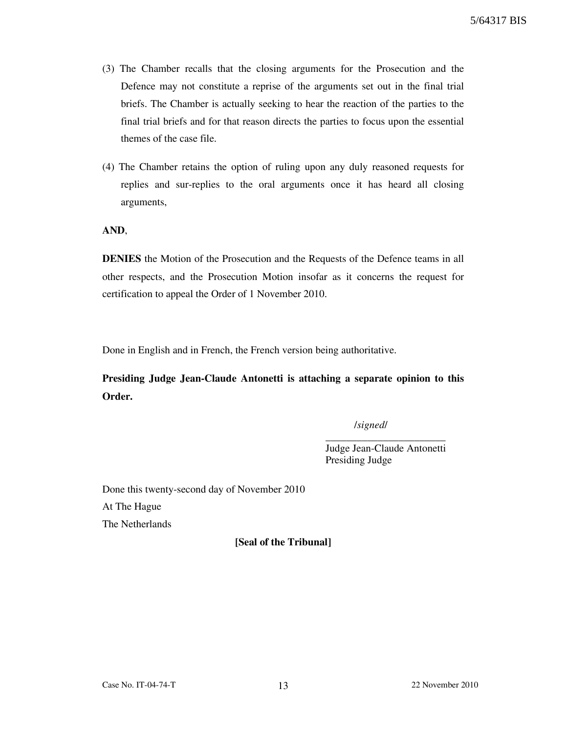- (3) The Chamber recalls that the closing arguments for the Prosecution and the Defence may not constitute a reprise of the arguments set out in the final trial briefs. The Chamber is actually seeking to hear the reaction of the parties to the final trial briefs and for that reason directs the parties to focus upon the essential themes of the case file.
- (4) The Chamber retains the option of ruling upon any duly reasoned requests for replies and sur-replies to the oral arguments once it has heard all closing arguments,

AND,

DENIES the Motion of the Prosecution and the Requests of the Defence teams in all other respects, and the Prosecution Motion insofar as it concerns the request for certification to appeal the Order of 1 November 2010.

Done in English and in French, the French version being authoritative.

Presiding Judge Jean-Claude Antonetti is attaching a separate opinion to this Order.

/signed/

\_\_\_\_\_\_\_\_\_\_\_\_\_\_\_\_\_\_\_\_\_\_\_ Judge Jean-Claude Antonetti Presiding Judge

Done this twenty-second day of November 2010 At The Hague The Netherlands

[Seal of the Tribunal]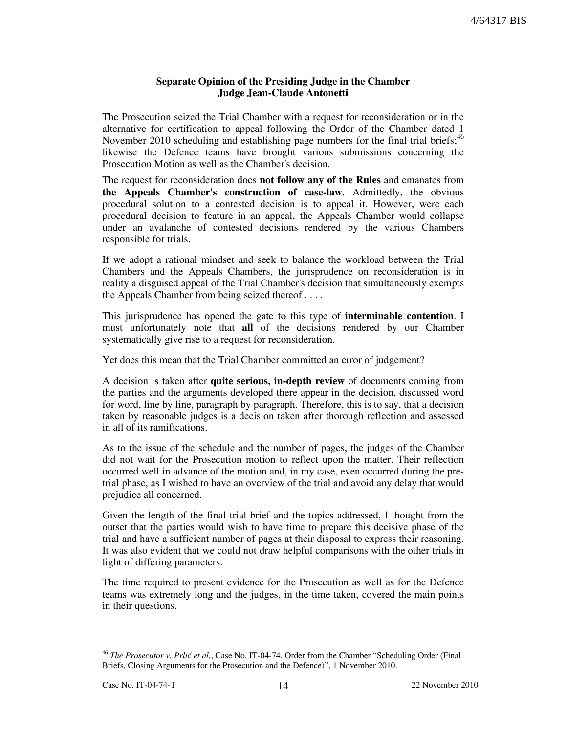# Separate Opinion of the Presiding Judge in the Chamber Judge Jean-Claude Antonetti

The Prosecution seized the Trial Chamber with a request for reconsideration or in the alternative for certification to appeal following the Order of the Chamber dated 1 November 2010 scheduling and establishing page numbers for the final trial briefs;<sup>46</sup> likewise the Defence teams have brought various submissions concerning the Prosecution Motion as well as the Chamber's decision.

The request for reconsideration does **not follow any of the Rules** and emanates from the Appeals Chamber's construction of case-law. Admittedly, the obvious procedural solution to a contested decision is to appeal it. However, were each procedural decision to feature in an appeal, the Appeals Chamber would collapse under an avalanche of contested decisions rendered by the various Chambers responsible for trials.

If we adopt a rational mindset and seek to balance the workload between the Trial Chambers and the Appeals Chambers, the jurisprudence on reconsideration is in reality a disguised appeal of the Trial Chamber's decision that simultaneously exempts the Appeals Chamber from being seized thereof . . . .

This jurisprudence has opened the gate to this type of interminable contention. I must unfortunately note that all of the decisions rendered by our Chamber systematically give rise to a request for reconsideration.

Yet does this mean that the Trial Chamber committed an error of judgement?

A decision is taken after quite serious, in-depth review of documents coming from the parties and the arguments developed there appear in the decision, discussed word for word, line by line, paragraph by paragraph. Therefore, this is to say, that a decision taken by reasonable judges is a decision taken after thorough reflection and assessed in all of its ramifications.

As to the issue of the schedule and the number of pages, the judges of the Chamber did not wait for the Prosecution motion to reflect upon the matter. Their reflection occurred well in advance of the motion and, in my case, even occurred during the pretrial phase, as I wished to have an overview of the trial and avoid any delay that would prejudice all concerned.

Given the length of the final trial brief and the topics addressed, I thought from the outset that the parties would wish to have time to prepare this decisive phase of the trial and have a sufficient number of pages at their disposal to express their reasoning. It was also evident that we could not draw helpful comparisons with the other trials in light of differing parameters.

The time required to present evidence for the Prosecution as well as for the Defence teams was extremely long and the judges, in the time taken, covered the main points in their questions.

<sup>-</sup> $46$  The Prosecutor v. Prlić et al., Case No. IT-04-74, Order from the Chamber "Scheduling Order (Final Briefs, Closing Arguments for the Prosecution and the Defence)", 1 November 2010.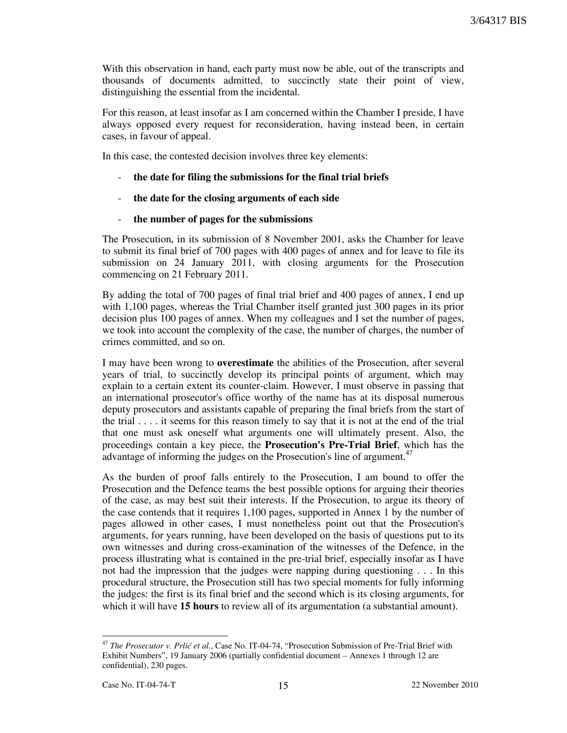With this observation in hand, each party must now be able, out of the transcripts and thousands of documents admitted, to succinctly state their point of view, distinguishing the essential from the incidental.

For this reason, at least insofar as I am concerned within the Chamber I preside, I have always opposed every request for reconsideration, having instead been, in certain cases, in favour of appeal.

In this case, the contested decision involves three key elements:

- the date for filing the submissions for the final trial briefs
- the date for the closing arguments of each side
- the number of pages for the submissions

The Prosecution, in its submission of 8 November 2001, asks the Chamber for leave to submit its final brief of 700 pages with 400 pages of annex and for leave to file its submission on 24 January 2011, with closing arguments for the Prosecution commencing on 21 February 2011.

By adding the total of 700 pages of final trial brief and 400 pages of annex, I end up with 1,100 pages, whereas the Trial Chamber itself granted just 300 pages in its prior decision plus 100 pages of annex. When my colleagues and I set the number of pages, we took into account the complexity of the case, the number of charges, the number of crimes committed, and so on.

I may have been wrong to overestimate the abilities of the Prosecution, after several years of trial, to succinctly develop its principal points of argument, which may explain to a certain extent its counter-claim. However, I must observe in passing that an international prosecutor's office worthy of the name has at its disposal numerous deputy prosecutors and assistants capable of preparing the final briefs from the start of the trial . . . . it seems for this reason timely to say that it is not at the end of the trial that one must ask oneself what arguments one will ultimately present. Also, the proceedings contain a key piece, the Prosecution's Pre-Trial Brief, which has the advantage of informing the judges on the Prosecution's line of argument.<sup>47</sup>

As the burden of proof falls entirely to the Prosecution, I am bound to offer the Prosecution and the Defence teams the best possible options for arguing their theories of the case, as may best suit their interests. If the Prosecution, to argue its theory of the case contends that it requires 1,100 pages, supported in Annex 1 by the number of pages allowed in other cases, I must nonetheless point out that the Prosecution's arguments, for years running, have been developed on the basis of questions put to its own witnesses and during cross-examination of the witnesses of the Defence, in the process illustrating what is contained in the pre-trial brief, especially insofar as I have not had the impression that the judges were napping during questioning . . . In this procedural structure, the Prosecution still has two special moments for fully informing the judges: the first is its final brief and the second which is its closing arguments, for which it will have **15 hours** to review all of its argumentation (a substantial amount).

<sup>-</sup> $47$  The Prosecutor v. Prlić et al., Case No. IT-04-74, "Prosecution Submission of Pre-Trial Brief with Exhibit Numbers", 19 January 2006 (partially confidential document – Annexes 1 through 12 are confidential), 230 pages.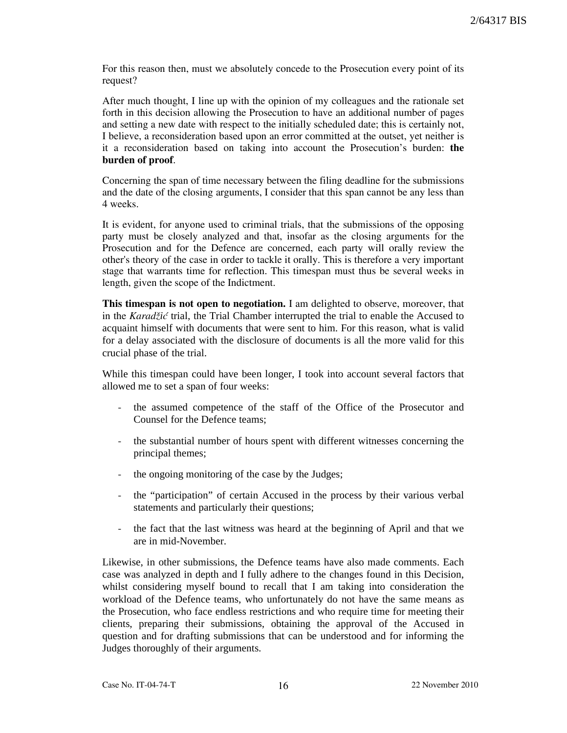For this reason then, must we absolutely concede to the Prosecution every point of its request?

After much thought, I line up with the opinion of my colleagues and the rationale set forth in this decision allowing the Prosecution to have an additional number of pages and setting a new date with respect to the initially scheduled date; this is certainly not, I believe, a reconsideration based upon an error committed at the outset, yet neither is it a reconsideration based on taking into account the Prosecution's burden: the burden of proof.

Concerning the span of time necessary between the filing deadline for the submissions and the date of the closing arguments, I consider that this span cannot be any less than 4 weeks.

It is evident, for anyone used to criminal trials, that the submissions of the opposing party must be closely analyzed and that, insofar as the closing arguments for the Prosecution and for the Defence are concerned, each party will orally review the other's theory of the case in order to tackle it orally. This is therefore a very important stage that warrants time for reflection. This timespan must thus be several weeks in length, given the scope of the Indictment.

This timespan is not open to negotiation. I am delighted to observe, moreover, that in the Karadžić trial, the Trial Chamber interrupted the trial to enable the Accused to acquaint himself with documents that were sent to him. For this reason, what is valid for a delay associated with the disclosure of documents is all the more valid for this crucial phase of the trial.

While this timespan could have been longer, I took into account several factors that allowed me to set a span of four weeks:

- the assumed competence of the staff of the Office of the Prosecutor and Counsel for the Defence teams;
- the substantial number of hours spent with different witnesses concerning the principal themes;
- the ongoing monitoring of the case by the Judges;
- the "participation" of certain Accused in the process by their various verbal statements and particularly their questions;
- the fact that the last witness was heard at the beginning of April and that we are in mid-November.

Likewise, in other submissions, the Defence teams have also made comments. Each case was analyzed in depth and I fully adhere to the changes found in this Decision, whilst considering myself bound to recall that I am taking into consideration the workload of the Defence teams, who unfortunately do not have the same means as the Prosecution, who face endless restrictions and who require time for meeting their clients, preparing their submissions, obtaining the approval of the Accused in question and for drafting submissions that can be understood and for informing the Judges thoroughly of their arguments.